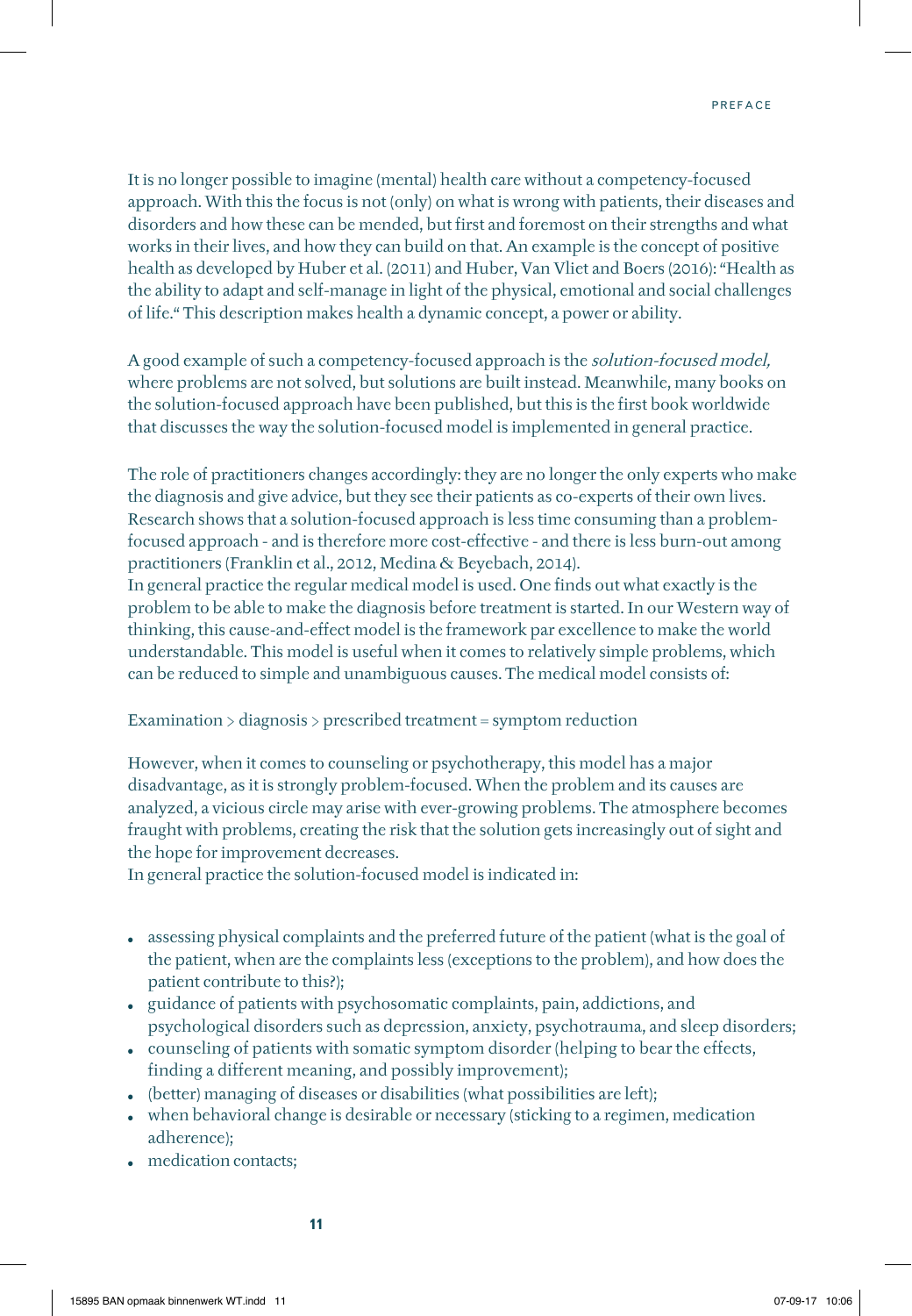It is no longer possible to imagine (mental) health care without a competency-focused approach. With this the focus is not (only) on what is wrong with patients, their diseases and disorders and how these can be mended, but first and foremost on their strengths and what works in their lives, and how they can build on that. An example is the concept of positive health as developed by Huber et al. (2011) and Huber, Van Vliet and Boers (2016): "Health as the ability to adapt and self-manage in light of the physical, emotional and social challenges of life." This description makes health a dynamic concept, a power or ability.

A good example of such a competency-focused approach is the solution-focused model, where problems are not solved, but solutions are built instead. Meanwhile, many books on the solution-focused approach have been published, but this is the first book worldwide that discusses the way the solution-focused model is implemented in general practice.

The role of practitioners changes accordingly: they are no longer the only experts who make the diagnosis and give advice, but they see their patients as co-experts of their own lives. Research shows that a solution-focused approach is less time consuming than a problemfocused approach - and is therefore more cost-effective - and there is less burn-out among practitioners (Franklin et al., 2012, Medina & Beyebach, 2014).

In general practice the regular medical model is used. One finds out what exactly is the problem to be able to make the diagnosis before treatment is started. In our Western way of thinking, this cause-and-effect model is the framework par excellence to make the world understandable. This model is useful when it comes to relatively simple problems, which can be reduced to simple and unambiguous causes. The medical model consists of:

## Examination > diagnosis > prescribed treatment = symptom reduction

However, when it comes to counseling or psychotherapy, this model has a major disadvantage, as it is strongly problem-focused. When the problem and its causes are analyzed, a vicious circle may arise with ever-growing problems. The atmosphere becomes fraught with problems, creating the risk that the solution gets increasingly out of sight and the hope for improvement decreases.

In general practice the solution-focused model is indicated in:

- **•** assessing physical complaints and the preferred future of the patient (what is the goal of the patient, when are the complaints less (exceptions to the problem), and how does the patient contribute to this?);
- **•** guidance of patients with psychosomatic complaints, pain, addictions, and psychological disorders such as depression, anxiety, psychotrauma, and sleep disorders;
- **•** counseling of patients with somatic symptom disorder (helping to bear the effects, finding a different meaning, and possibly improvement);
- (better) managing of diseases or disabilities (what possibilities are left);
- **•** when behavioral change is desirable or necessary (sticking to a regimen, medication adherence);
- **•** medication contacts;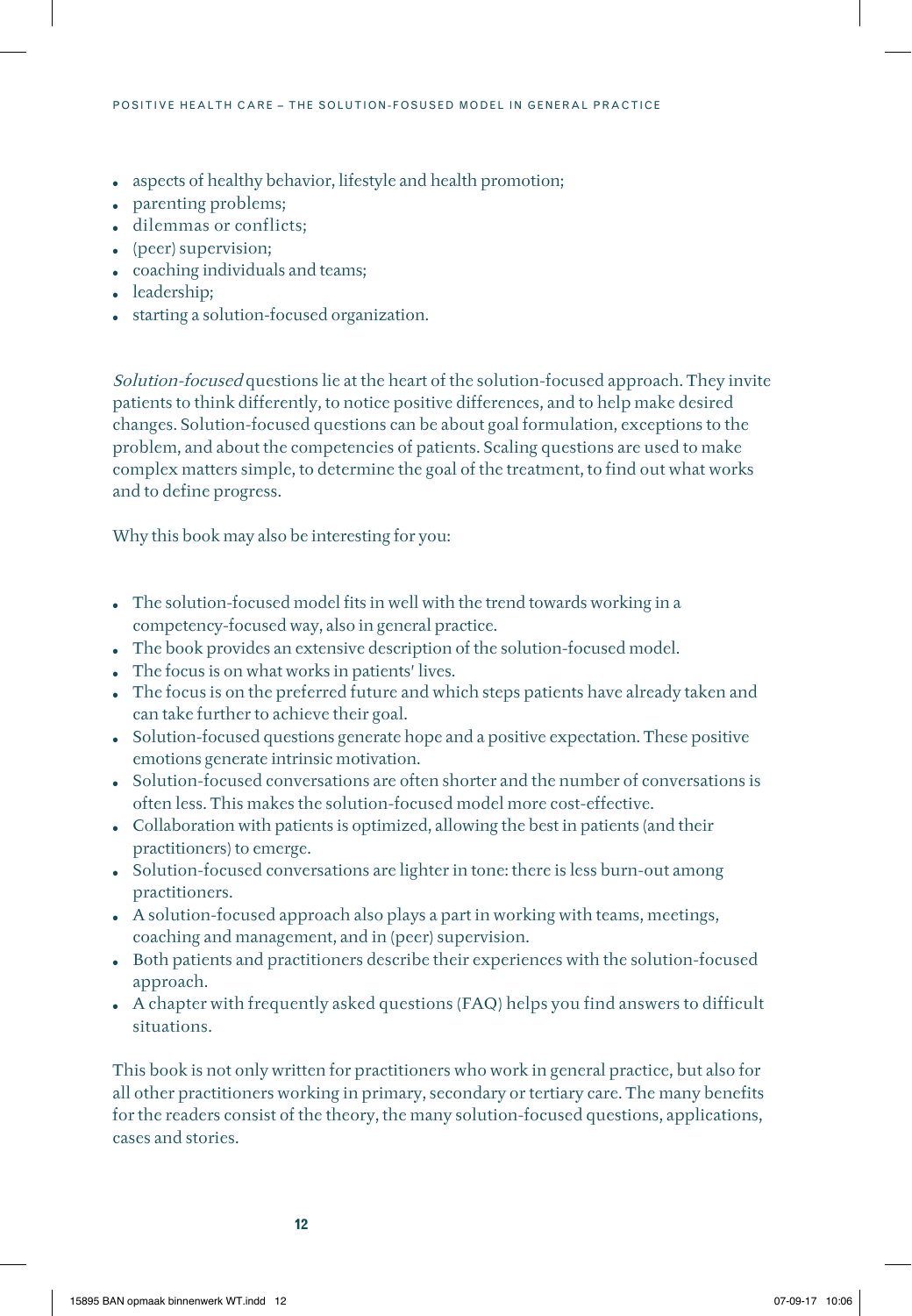- **•** aspects of healthy behavior, lifestyle and health promotion;
- **•** parenting problems;
- **•** dilemmas or conflicts;
- **•** (peer) supervision;
- **•** coaching individuals and teams;
- **•** leadership;
- **•** starting a solution-focused organization.

Solution-focused questions lie at the heart of the solution-focused approach. They invite patients to think differently, to notice positive differences, and to help make desired changes. Solution-focused questions can be about goal formulation, exceptions to the problem, and about the competencies of patients. Scaling questions are used to make complex matters simple, to determine the goal of the treatment, to find out what works and to define progress.

Why this book may also be interesting for you:

- **•** The solution-focused model fits in well with the trend towards working in a competency-focused way, also in general practice.
- **•** The book provides an extensive description of the solution-focused model.
- **•** The focus is on what works in patients' lives.
- **•** The focus is on the preferred future and which steps patients have already taken and can take further to achieve their goal.
- **•** Solution-focused questions generate hope and a positive expectation. These positive emotions generate intrinsic motivation.
- **•** Solution-focused conversations are often shorter and the number of conversations is often less. This makes the solution-focused model more cost-effective.
- **•** Collaboration with patients is optimized, allowing the best in patients (and their practitioners) to emerge.
- **•** Solution-focused conversations are lighter in tone: there is less burn-out among practitioners.
- **•** A solution-focused approach also plays a part in working with teams, meetings, coaching and management, and in (peer) supervision.
- **•** Both patients and practitioners describe their experiences with the solution-focused approach.
- **•** A chapter with frequently asked questions (FAQ) helps you find answers to difficult situations.

This book is not only written for practitioners who work in general practice, but also for all other practitioners working in primary, secondary or tertiary care. The many benefits for the readers consist of the theory, the many solution-focused questions, applications, cases and stories.